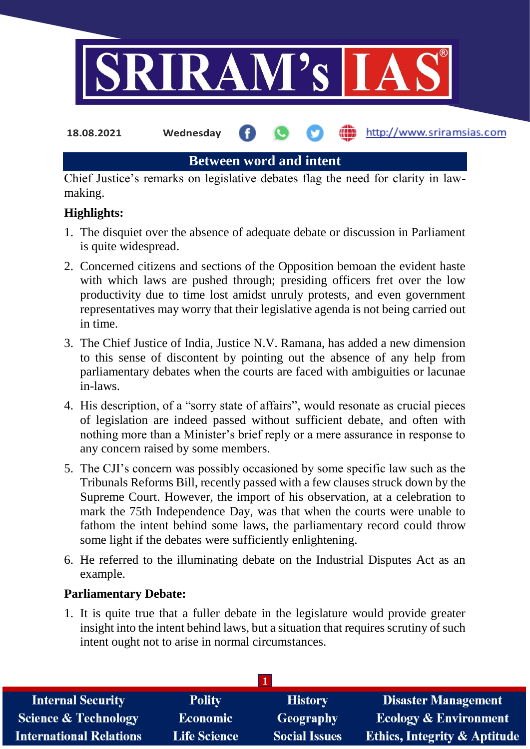

**18.08.2021 Wednesday**

http://www.sriramsias.com

**Between word and intent**

Chief Justice's remarks on legislative debates flag the need for clarity in lawmaking.

# **Highlights:**

- 1. The disquiet over the absence of adequate debate or discussion in Parliament is quite widespread.
- 2. Concerned citizens and sections of the Opposition bemoan the evident haste with which laws are pushed through; presiding officers fret over the low productivity due to time lost amidst unruly protests, and even government representatives may worry that their legislative agenda is not being carried out in time.
- 3. The Chief Justice of India, Justice N.V. Ramana, has added a new dimension to this sense of discontent by pointing out the absence of any help from parliamentary debates when the courts are faced with ambiguities or lacunae in-laws.
- 4. His description, of a "sorry state of affairs", would resonate as crucial pieces of legislation are indeed passed without sufficient debate, and often with nothing more than a Minister's brief reply or a mere assurance in response to any concern raised by some members.
- 5. The CJI's concern was possibly occasioned by some specific law such as the Tribunals Reforms Bill, recently passed with a few clauses struck down by the Supreme Court. However, the import of his observation, at a celebration to mark the 75th Independence Day, was that when the courts were unable to fathom the intent behind some laws, the parliamentary record could throw some light if the debates were sufficiently enlightening.
- 6. He referred to the illuminating debate on the Industrial Disputes Act as an example.

## **Parliamentary Debate:**

1. It is quite true that a fuller debate in the legislature would provide greater insight into the intent behind laws, but a situation that requires scrutiny of such intent ought not to arise in normal circumstances.

| <b>Internal Security</b>        | <b>Polity</b>       | <b>History</b>       | <b>Disaster Management</b>              |  |  |  |
|---------------------------------|---------------------|----------------------|-----------------------------------------|--|--|--|
| <b>Science &amp; Technology</b> | <b>Economic</b>     | <b>Geography</b>     | <b>Ecology &amp; Environment</b>        |  |  |  |
| <b>International Relations</b>  | <b>Life Science</b> | <b>Social Issues</b> | <b>Ethics, Integrity &amp; Aptitude</b> |  |  |  |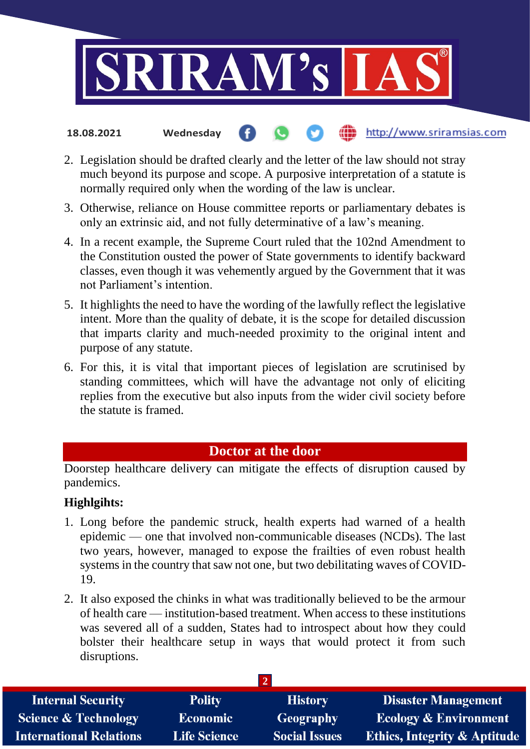

#### http://www.sriramsias.com **18.08.2021 Wednesday**

- 2. Legislation should be drafted clearly and the letter of the law should not stray much beyond its purpose and scope. A purposive interpretation of a statute is normally required only when the wording of the law is unclear.
- 3. Otherwise, reliance on House committee reports or parliamentary debates is only an extrinsic aid, and not fully determinative of a law's meaning.
- 4. In a recent example, the Supreme Court ruled that the 102nd Amendment to the Constitution ousted the power of State governments to identify backward classes, even though it was vehemently argued by the Government that it was not Parliament's intention.
- 5. It highlights the need to have the wording of the lawfully reflect the legislative intent. More than the quality of debate, it is the scope for detailed discussion that imparts clarity and much-needed proximity to the original intent and purpose of any statute.
- 6. For this, it is vital that important pieces of legislation are scrutinised by standing committees, which will have the advantage not only of eliciting replies from the executive but also inputs from the wider civil society before the statute is framed.

### **Doctor at the door**

Doorstep healthcare delivery can mitigate the effects of disruption caused by pandemics.

### **Highlgihts:**

- 1. Long before the pandemic struck, health experts had warned of a health epidemic — one that involved non-communicable diseases (NCDs). The last two years, however, managed to expose the frailties of even robust health systems in the country that saw not one, but two debilitating waves of COVID-19.
- 2. It also exposed the chinks in what was traditionally believed to be the armour of health care — institution-based treatment. When access to these institutions was severed all of a sudden, States had to introspect about how they could bolster their healthcare setup in ways that would protect it from such disruptions.

| <b>Internal Security</b>        | <b>Polity</b>       | <b>History</b>       | <b>Disaster Management</b>              |  |  |
|---------------------------------|---------------------|----------------------|-----------------------------------------|--|--|
| <b>Science &amp; Technology</b> | <b>Economic</b>     | Geography            | <b>Ecology &amp; Environment</b>        |  |  |
| <b>International Relations</b>  | <b>Life Science</b> | <b>Social Issues</b> | <b>Ethics, Integrity &amp; Aptitude</b> |  |  |